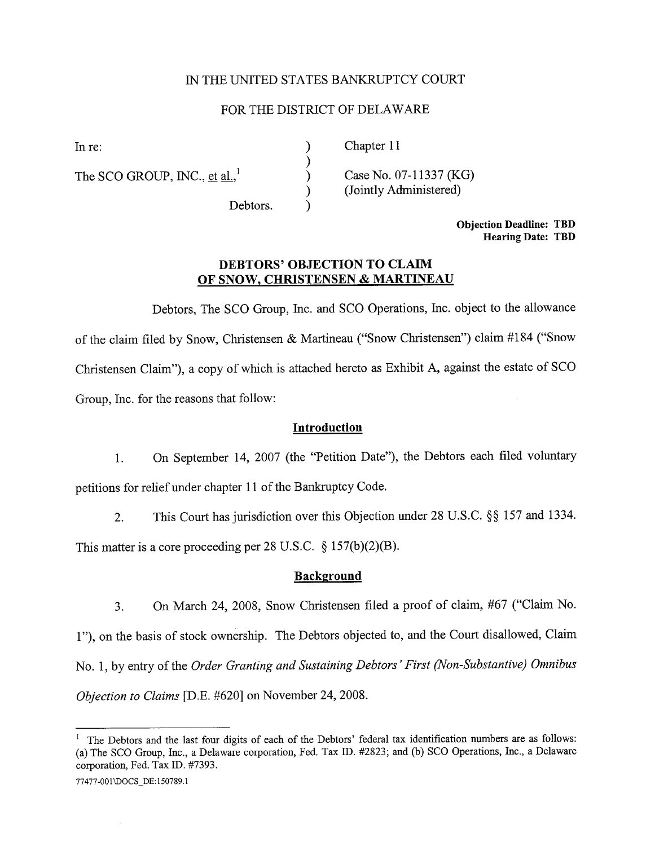#### IN THE UNITED STATES BANKRUPTCY COURT

#### FOR THE DISTRICT OF DELAWAR

) ) ) ) )

The SCO GROUP, INC., et al., $^1$ 

In re: (a) Chapter 11

Case No. 07-11337 (KG) (Jointly Administered)

Debtors.

Objection Deadline: TBD Hearing Date: TBD

### DEBTORS' OBJECTION TO CLAIM OF SNOW. CHRISTENSEN & MARTINEAU

Debtors, The SCO Group, Inc. and SCO Operations, Inc. object to the allowance of the claim filed by Snow, Chrstensen & Marineau ("Snow Chrstensen") claim #184 ("Snow Christensen Claim"), a copy of which is attached hereto as Exhibit A, against the estate of SCO Group, Inc. for the reasons that follow:

#### Introduction

1. On September 14, 2007 (the "Petition Date"), the Debtors each fied voluntary petitions for relief under chapter 11 of the Bankruptcy Code.

2. This Court has jursdiction over this Objection under 28 U.S.c. §§ 157 and 1334.

This matter is a core proceeding per 28 U.S.C.  $\S 157(b)(2)(B)$ .

#### **Background**

3. On March 24, 2008, Snow Chrstensen fied a proof of claim, #67 ("Claim No.

1"), on the basis of stock ownership. The Debtors objected to, and the Court disallowed, Claim No. 1, by entry of the Order Granting and Sustaining Debtors' First (Non-Substantive) Omnibus Objection to Claims [D.E. #620] on November 24, 2008.

<sup>&</sup>lt;sup>1</sup> The Debtors and the last four digits of each of the Debtors' federal tax identification numbers are as follows: (a) The SCO Group, Inc., a Delaware corporation, Fed. Tax ID. #2823; and (b) SCO Operations, Inc., a Delaware corporation, Fed. Tax ID. #7393.

<sup>77477-001 \</sup>DOCS\_DE: 150789.1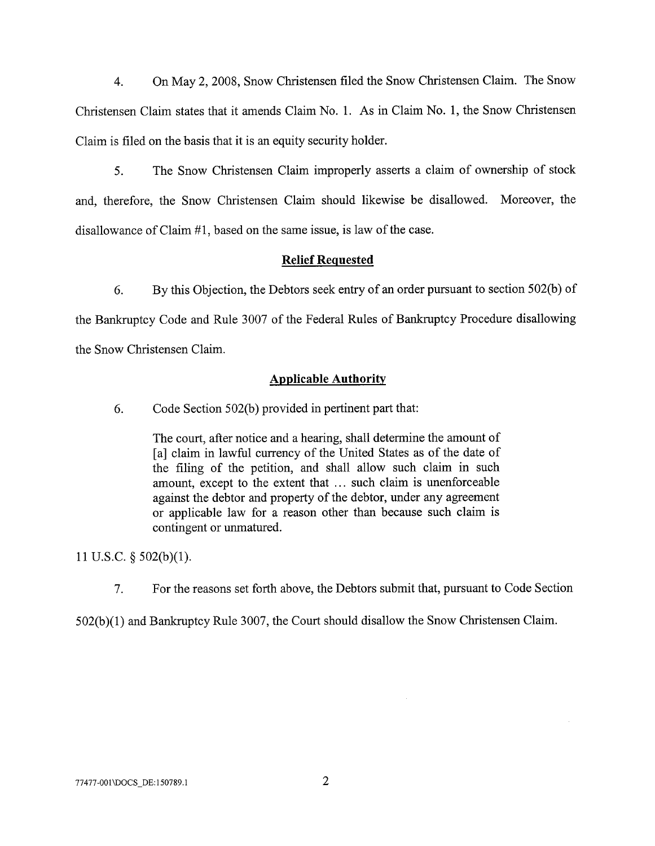4. On May 2, 2008, Snow Chrstensen fied the Snow Chrstensen Claim. The Snow Christensen Claim states that it amends Claim No. 1. As in Claim No. 1, the Snow Christensen Claim is filed on the basis that it is an equity security holder.

5. The Snow Christensen Claim improperly asserts a claim of ownership of stock and, therefore, the Snow Christensen Claim should likewise be disallowed. Moreover, the disallowance of Claim  $#1$ , based on the same issue, is law of the case.

### Relief Requested

6. By this Objection, the Debtors seek entry of an order pursuant to section 502(b) of the Bankruptcy Code and Rule 3007 of the Federal Rules of Bankruptcy Procedure disallowing the Snow Christensen Claim.

#### **Applicable Authority**

6. Code Section 502(b) provided in pertinent part that:

The court, after notice and a hearing, shall determine the amount of [a] claim in lawful currency of the United States as of the date of the filing of the petition, and shall allow such claim in such amount, except to the extent that ... such claim is unenforceable against the debtor and property of the debtor, under any agreement or applicable law for a reason other than because such claim is contingent or unmatured.

11 U.S.c. § 502(b)(I).

7. For the reasons set forth above, the Debtors submit that, pursuant to Code Section

 $502(b)(1)$  and Bankruptcy Rule 3007, the Court should disallow the Snow Christensen Claim.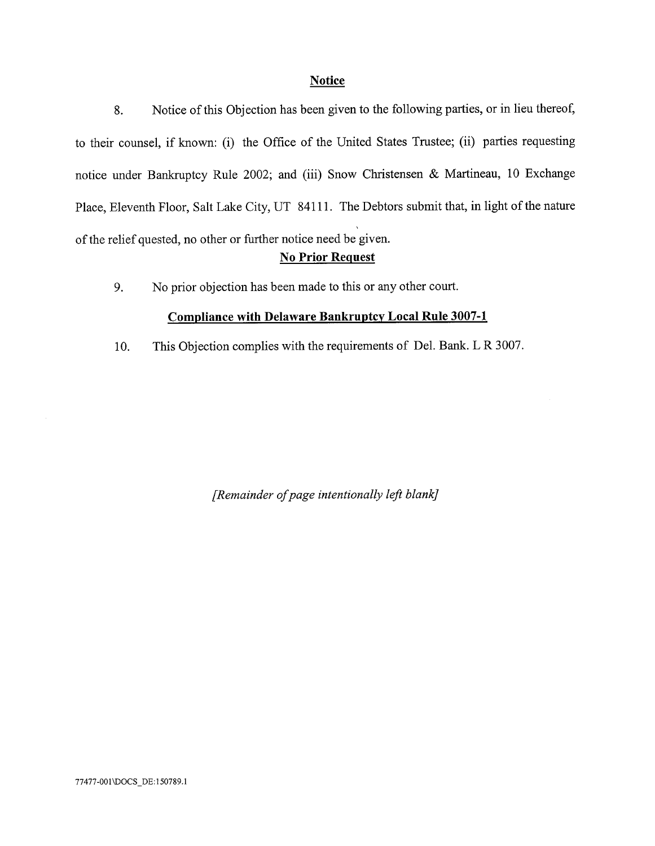#### **Notice**

8. Notice of this Objection has been given to the following parties, or in lieu thereof, to their counsel, if known: (i) the Office of the United States Trustee; (ii) parties requesting notice under Bankruptcy Rule 2002; and (iii) Snow Christensen & Martineau, 10 Exchange Place, Eleventh Floor, Salt Lake City, UT 84111. The Debtors submit that, in light of the nature of the relief quested, no other or further notice need be given.

# No Prior Request

9. No prior objection has been made to this or any other court.

### Compliance with Delaware Bankruptcy Local Rule 3007-1

10. This Objection complies with the requirements of Del. Bank. L R 3007.

(Remainder of page intentionally left blank)